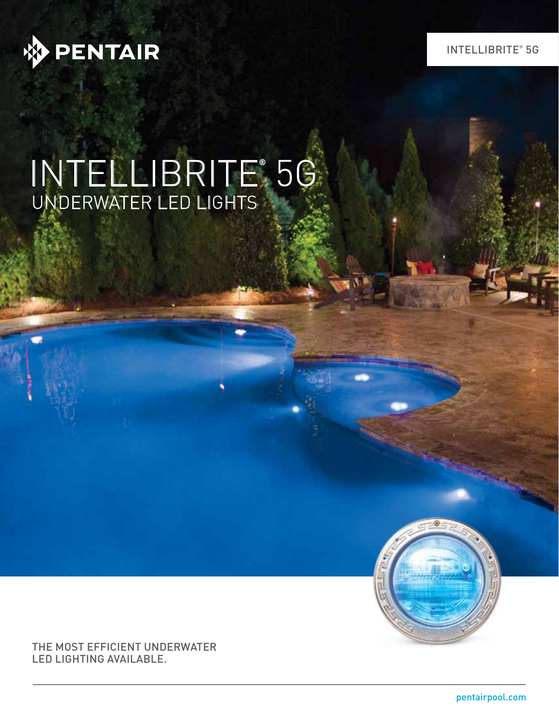

INTELLIBRITE® 5G

# INTELLIBRITE® 5G UNDERWATER LED LIGHTS

THE MOST EFFICIENT UNDERWATER LED LIGHTING AVAILABLE.

pentairpool.com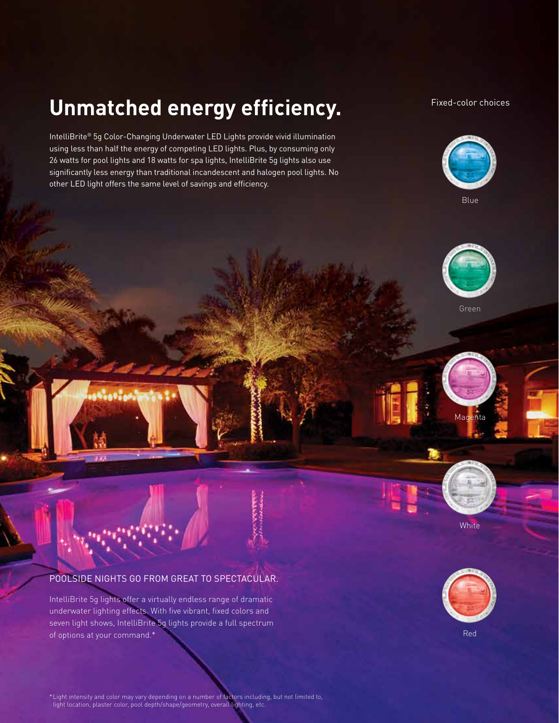## **Unmatched energy efficiency.**

IntelliBrite® 5g Color-Changing Underwater LED Lights provide vivid illumination using less than half the energy of competing LED lights. Plus, by consuming only 26 watts for pool lights and 18 watts for spa lights, IntelliBrite 5g lights also use significantly less energy than traditional incandescent and halogen pool lights. No other LED light offers the same level of savings and efficiency.

#### Fixed-color choices



Blue





Magenta

### POOLSIDE NIGHTS GO FROM GREAT TO SPECTACULAR.

سأده

IntelliBrite 5g lights offer a virtually endless range of dramatic underwater lighting effects. With five vibrant, fixed colors and seven light shows, IntelliBrite 5g lights provide a full spectrum of options at your command.\*



**White** 

Red

\*Light intensity and color may vary depending on a number of factors including, but not limited to, light location, plaster color, pool depth/shape/geometry, overall lighting, etc.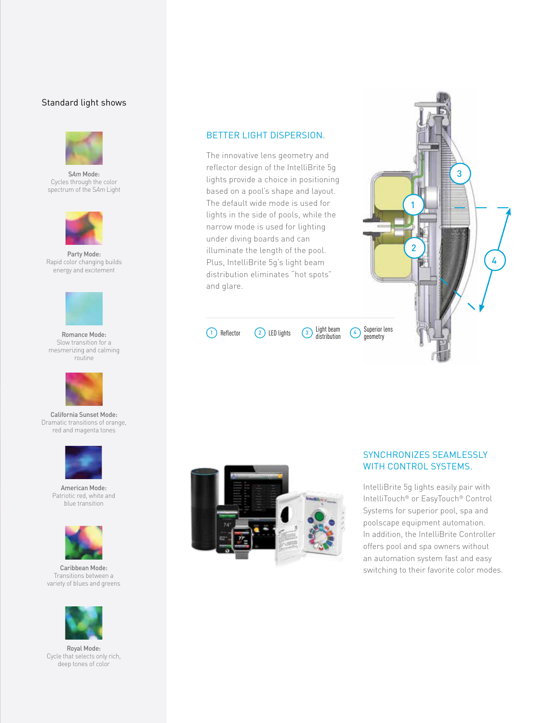#### Standard light shows



S*Am* Mode: Cycles through the color spectrum of the S*Am* Light



Party Mode: Rapid color changing builds energy and excitement



Romance Mode: Slow transition for a mesmerizing and calming routine



California Sunset Mode: Dramatic transitions of orange, red and magenta tones



American Mode: Patriotic red, white and blue transition



Caribbean Mode: Transitions between a variety of blues and greens



Royal Mode: Cycle that selects only rich, deep tones of color

#### BETTER LIGHT DISPERSION.

The innovative lens geometry and reflector design of the IntelliBrite 5g lights provide a choice in positioning based on a pool's shape and layout. The default wide mode is used for lights in the side of pools, while the narrow mode is used for lighting under diving boards and can illuminate the length of the pool. Plus, IntelliBrite 5g's light beam distribution eliminates "hot spots" and glare.



1) Reflector  $\binom{2}{2}$  LED lights  $\binom{3}{3}$  distribution  $\binom{4}{3}$ Light beam<br>distribution





#### SYNCHRONIZES SEAMLESSLY WITH CONTROL SYSTEMS.

IntelliBrite 5g lights easily pair with IntelliTouch® or EasyTouch® Control Systems for superior pool, spa and poolscape equipment automation. In addition, the IntelliBrite Controller offers pool and spa owners without an automation system fast and easy switching to their favorite color modes.